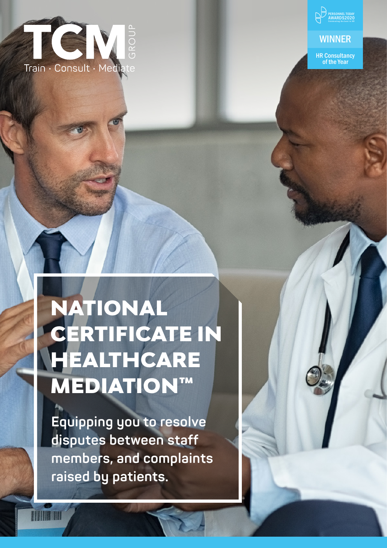

PERSONNEL TODAY<br>AWARDS2020<br>Celebrating the best in HF

#### **WINNER**

HR Consultancy of the Year

# NATIONAL CERTIFICATE IN HEALTHCARE MEDIATION™

**Equipping you to resolve disputes between staff members, and complaints raised by patients.**

**TITULIA INTE**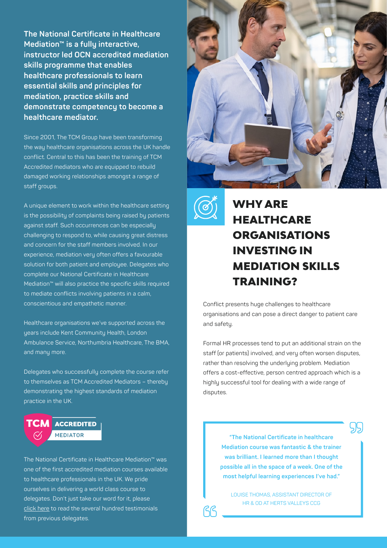**The National Certificate in Healthcare Mediation™ is a fully interactive, instructor led OCN accredited mediation skills programme that enables healthcare professionals to learn essential skills and principles for mediation, practice skills and demonstrate competency to become a healthcare mediator.** 

Since 2001, The TCM Group have been transforming the way healthcare organisations across the UK handle conflict. Central to this has been the training of TCM Accredited mediators who are equipped to rebuild damaged working relationships amongst a range of staff groups.

A unique element to work within the healthcare setting is the possibility of complaints being raised by patients against staff. Such occurrences can be especially challenging to respond to, while causing great distress and concern for the staff members involved. In our experience, mediation very often offers a favourable solution for both patient and employee. Delegates who complete our National Certificate in Healthcare Mediation™ will also practice the specific skills required to mediate conflicts involving patients in a calm, conscientious and empathetic manner.

Healthcare organisations we've supported across the years include Kent Community Health, London Ambulance Service, Northumbria Healthcare, The BMA, and many more.

Delegates who successfully complete the course refer to themselves as TCM Accredited Mediators – thereby demonstrating the highest standards of mediation practice in the UK.



The National Certificate in Healthcare Mediation™ was one of the first accredited mediation courses available to healthcare professionals in the UK. We pride ourselves in delivering a world class course to delegates. Don't just take our word for it, please [click here](https://thetcmgroup.com/customer-testimonials/) to read the several hundred testimonials from previous delegates.





# WHY ARE **HEALTHCARE ORGANISATIONS** INVESTING IN MEDIATION SKILLS TRAINING?

Conflict presents huge challenges to healthcare organisations and can pose a direct danger to patient care and safety.

Formal HR processes tend to put an additional strain on the staff (or patients) involved, and very often worsen disputes, rather than resolving the underlying problem. Mediation offers a cost-effective, person centred approach which is a highly successful tool for dealing with a wide range of disputes.

> **"The National Certificate in healthcare Mediation course was fantastic & the trainer was brilliant. I learned more than I thought possible all in the space of a week. One of the most helpful learning experiences I've had."**

LOUISE THOMAS, ASSISTANT DIRECTOR OF HR & OD AT HERTS VALLEYS CCG

99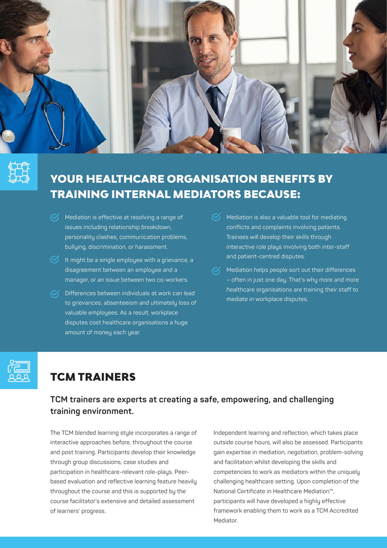

# YOUR HEALTHCARE ORGANISATION BENEFITS BY TRAINING INTERNAL MEDIATORS BECAUSE:

- $\heartsuit$  Mediation is effective at resolving a range of issues including relationship breakdown, personality clashes, communication problems, bullying, discrimination, or harassment.
- $\heartsuit$  It might be a single employee with a grievance, a disagreement between an employee and a manager, or an issue between two co-workers.
- $\sqrt{\checkmark}$  Differences between individuals at work can lead to grievances, absenteeism and ultimately loss of valuable employees. As a result, workplace disputes cost healthcare organisations a huge amount of money each year.
- $\heartsuit$  Mediation is also a valuable tool for mediating conflicts and complaints involving patients. Trainees will develop their skills through interactive role plays involving both inter-staff and patient-centred disputes.
- $\sqrt{2}$  Mediation helps people sort out their differences – often in just one day. That's why more and more healthcare organisations are training their staff to mediate in workplace disputes.



# TCM TRAINERS

#### **TCM trainers are experts at creating a safe, empowering, and challenging training environment.**

The TCM blended learning style incorporates a range of interactive approaches before, throughout the course and post training. Participants develop their knowledge through group discussions, case studies and participation in healthcare-relevant role-plays. Peerbased evaluation and reflective learning feature heavily throughout the course and this is supported by the course facilitator's extensive and detailed assessment of learners' progress.

Independent learning and reflection, which takes place outside course hours, will also be assessed. Participants gain expertise in mediation, negotiation, problem-solving and facilitation whilst developing the skills and competencies to work as mediators within the uniquely challenging healthcare setting. Upon completion of the National Certificate in Healthcare Mediation™, participants will have developed a highly effective framework enabling them to work as a TCM Accredited Mediator.